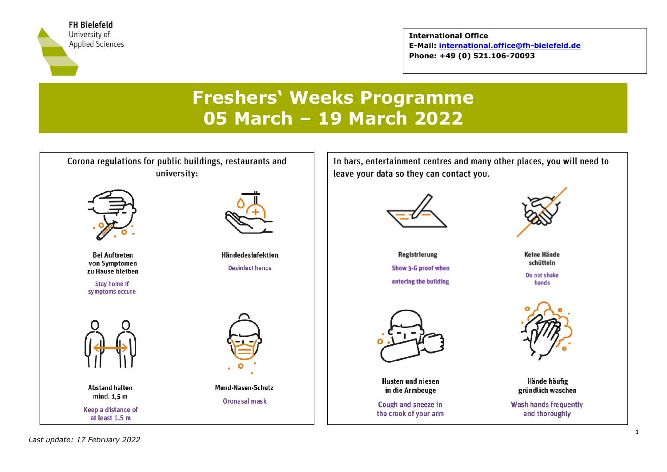

**International Office E-Mail: [international.office@fh-bielefeld.de](mailto:international.office@fh-bielefeld.de) Phone: +49 (0) 521.106-70093**

# **Freshers' Weeks Programme 05 March – 19 March 2022**

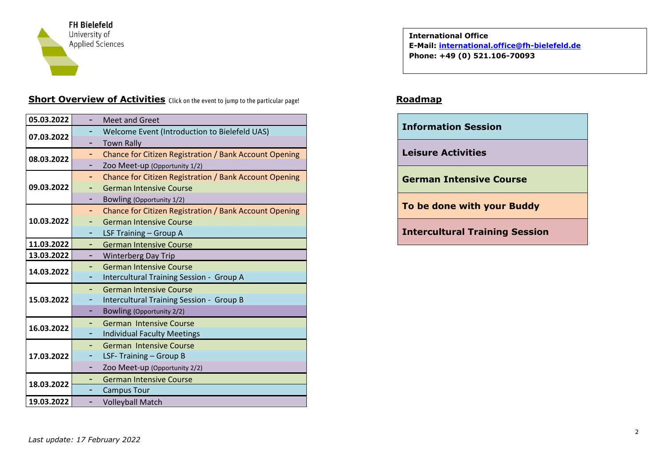

# **Short Overview of Activities** Click on the event to jump to the particular page! Roadmap

| 05.03.2022 |    | <b>Meet and Greet</b>                                  |
|------------|----|--------------------------------------------------------|
| 07.03.2022 |    | Welcome Event (Introduction to Bielefeld UAS)          |
|            |    | <b>Town Rally</b>                                      |
| 08.03.2022 | Ξ. | Chance for Citizen Registration / Bank Account Opening |
|            | ۰  | Zoo Meet-up (Opportunity 1/2)                          |
|            | ۰  | Chance for Citizen Registration / Bank Account Opening |
| 09.03.2022 |    | <b>German Intensive Course</b>                         |
|            |    | Bowling (Opportunity 1/2)                              |
|            | Ξ. | Chance for Citizen Registration / Bank Account Opening |
| 10.03.2022 | ۰  | <b>German Intensive Course</b>                         |
|            | ۰  | LSF Training - Group A                                 |
| 11.03.2022 | -  | <b>German Intensive Course</b>                         |
| 13.03.2022 | -  | <b>Winterberg Day Trip</b>                             |
| 14.03.2022 |    | <b>German Intensive Course</b>                         |
|            |    | Intercultural Training Session - Group A               |
|            | ۰  | <b>German Intensive Course</b>                         |
| 15.03.2022 | ۰  | Intercultural Training Session - Group B               |
|            | ۰  | <b>Bowling (Opportunity 2/2)</b>                       |
| 16.03.2022 | ۰  | <b>German Intensive Course</b>                         |
|            |    | <b>Individual Faculty Meetings</b>                     |
|            |    | German Intensive Course                                |
| 17.03.2022 | ۰  | LSF-Training - Group B                                 |
|            | ۰  | Zoo Meet-up (Opportunity 2/2)                          |
| 18.03.2022 |    | <b>German Intensive Course</b>                         |
|            |    | <b>Campus Tour</b>                                     |
| 19.03.2022 |    | <b>Volleyball Match</b>                                |

**International Office E-Mail: [international.office@fh-bielefeld.de](mailto:international.office@fh-bielefeld.de) Phone: +49 (0) 521.106-70093**

| <b>Information Session</b>            |
|---------------------------------------|
| <b>Leisure Activities</b>             |
| <b>German Intensive Course</b>        |
| To be done with your Buddy            |
| <b>Intercultural Training Session</b> |
|                                       |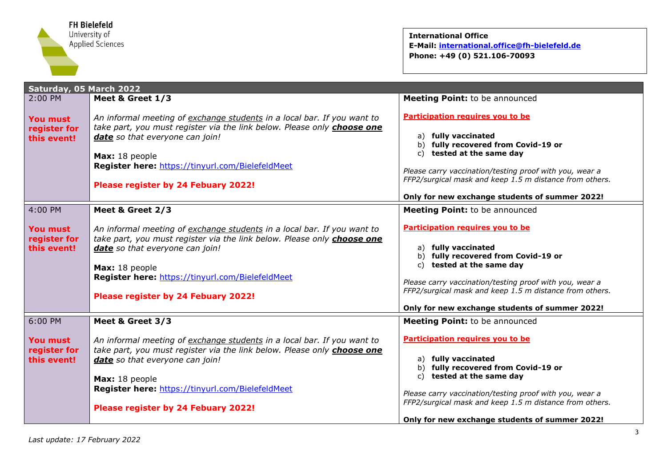

<span id="page-2-0"></span>

| Saturday, 05 March 2022                        |                                                                                                                                                                                                                                                                                                    |                                                                                                                                                                                                                                                                                                     |  |
|------------------------------------------------|----------------------------------------------------------------------------------------------------------------------------------------------------------------------------------------------------------------------------------------------------------------------------------------------------|-----------------------------------------------------------------------------------------------------------------------------------------------------------------------------------------------------------------------------------------------------------------------------------------------------|--|
| 2:00 PM                                        | Meet & Greet 1/3                                                                                                                                                                                                                                                                                   | <b>Meeting Point:</b> to be announced                                                                                                                                                                                                                                                               |  |
| <b>You must</b><br>register for<br>this event! | An informal meeting of exchange students in a local bar. If you want to<br>take part, you must register via the link below. Please only <b>choose one</b><br>date so that everyone can join!<br>Max: 18 people                                                                                     | Participation requires you to be<br>a) fully vaccinated<br>b) fully recovered from Covid-19 or<br>c) tested at the same day                                                                                                                                                                         |  |
|                                                | Register here: https://tinyurl.com/BielefeldMeet<br>Please register by 24 Febuary 2022!                                                                                                                                                                                                            | Please carry vaccination/testing proof with you, wear a<br>FFP2/surgical mask and keep 1.5 m distance from others.<br>Only for new exchange students of summer 2022!                                                                                                                                |  |
| 4:00 PM                                        | Meet & Greet 2/3                                                                                                                                                                                                                                                                                   | Meeting Point: to be announced                                                                                                                                                                                                                                                                      |  |
| <b>You must</b><br>register for<br>this event! | An informal meeting of exchange students in a local bar. If you want to<br>take part, you must register via the link below. Please only choose one<br>date so that everyone can join!<br>Max: 18 people<br>Register here: https://tinyurl.com/BielefeldMeet<br>Please register by 24 Febuary 2022! | Participation requires you to be<br>a) fully vaccinated<br>b) fully recovered from Covid-19 or<br>c) tested at the same day<br>Please carry vaccination/testing proof with you, wear a<br>FFP2/surgical mask and keep 1.5 m distance from others.<br>Only for new exchange students of summer 2022! |  |
| 6:00 PM                                        | Meet & Greet 3/3                                                                                                                                                                                                                                                                                   | <b>Meeting Point:</b> to be announced                                                                                                                                                                                                                                                               |  |
| <b>You must</b><br>register for<br>this event! | An informal meeting of exchange students in a local bar. If you want to<br>take part, you must register via the link below. Please only choose one<br>date so that everyone can join!<br>Max: 18 people<br>Register here: https://tinyurl.com/BielefeldMeet<br>Please register by 24 Febuary 2022! | Participation requires you to be<br>a) fully vaccinated<br>b) fully recovered from Covid-19 or<br>c) tested at the same day<br>Please carry vaccination/testing proof with you, wear a<br>FFP2/surgical mask and keep 1.5 m distance from others.                                                   |  |
|                                                |                                                                                                                                                                                                                                                                                                    | Only for new exchange students of summer 2022!                                                                                                                                                                                                                                                      |  |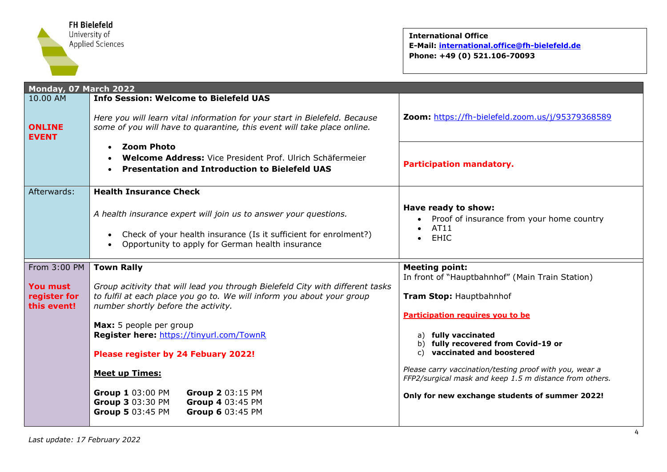

<span id="page-3-0"></span>

| Monday, 07 March 2022         |                                                                                                                                                       |                                                                                                                    |  |  |
|-------------------------------|-------------------------------------------------------------------------------------------------------------------------------------------------------|--------------------------------------------------------------------------------------------------------------------|--|--|
| 10.00 AM                      | <b>Info Session: Welcome to Bielefeld UAS</b>                                                                                                         |                                                                                                                    |  |  |
| <b>ONLINE</b><br><b>EVENT</b> | Here you will learn vital information for your start in Bielefeld. Because<br>some of you will have to quarantine, this event will take place online. | Zoom: https://fh-bielefeld.zoom.us/j/95379368589                                                                   |  |  |
|                               | <b>Zoom Photo</b><br>$\bullet$<br>Welcome Address: Vice President Prof. Ulrich Schäfermeier<br><b>Presentation and Introduction to Bielefeld UAS</b>  | <b>Participation mandatory.</b>                                                                                    |  |  |
| Afterwards:                   | <b>Health Insurance Check</b>                                                                                                                         |                                                                                                                    |  |  |
|                               | A health insurance expert will join us to answer your questions.                                                                                      | Have ready to show:<br>Proof of insurance from your home country                                                   |  |  |
|                               | Check of your health insurance (Is it sufficient for enrolment?)<br>$\bullet$<br>Opportunity to apply for German health insurance                     | AT11<br>$\bullet$<br><b>EHIC</b><br>$\bullet$                                                                      |  |  |
| From 3:00 PM                  | <b>Town Rally</b>                                                                                                                                     | <b>Meeting point:</b>                                                                                              |  |  |
| <b>You must</b>               | Group acitivity that will lead you through Bielefeld City with different tasks                                                                        | In front of "Hauptbahnhof" (Main Train Station)                                                                    |  |  |
| register for<br>this event!   | to fulfil at each place you go to. We will inform you about your group<br>number shortly before the activity.                                         | Tram Stop: Hauptbahnhof                                                                                            |  |  |
|                               |                                                                                                                                                       | Participation requires you to be                                                                                   |  |  |
|                               | Max: 5 people per group<br>Register here: https://tinyurl.com/TownR                                                                                   | a) fully vaccinated                                                                                                |  |  |
|                               | Please register by 24 Febuary 2022!                                                                                                                   | b) fully recovered from Covid-19 or<br>vaccinated and boostered<br>C)                                              |  |  |
|                               | <b>Meet up Times:</b>                                                                                                                                 | Please carry vaccination/testing proof with you, wear a<br>FFP2/surgical mask and keep 1.5 m distance from others. |  |  |
|                               | Group 1 03:00 PM<br>Group 2 03:15 PM<br>Group 3 03:30 PM<br>Group 4 03:45 PM<br>Group 5 03:45 PM<br>Group 6 03:45 PM                                  | Only for new exchange students of summer 2022!                                                                     |  |  |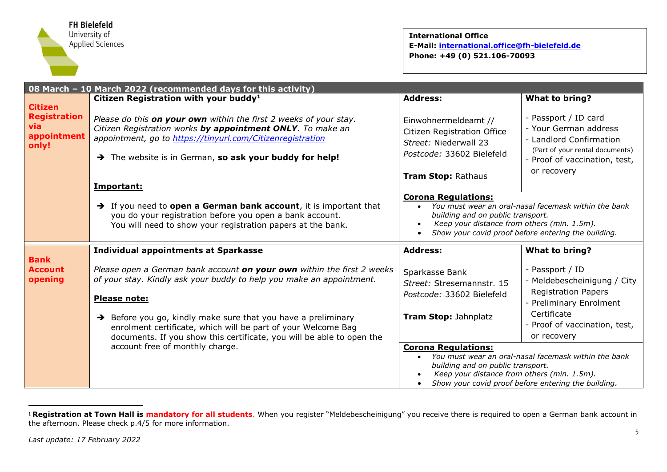

<span id="page-4-0"></span>

|                                                                      | 08 March - 10 March 2022 (recommended days for this activity)                                                                                                                                                                                                                                                                                                                         |                                                                                                                                        |                                                                                                                                                                      |
|----------------------------------------------------------------------|---------------------------------------------------------------------------------------------------------------------------------------------------------------------------------------------------------------------------------------------------------------------------------------------------------------------------------------------------------------------------------------|----------------------------------------------------------------------------------------------------------------------------------------|----------------------------------------------------------------------------------------------------------------------------------------------------------------------|
|                                                                      | Citizen Registration with your buddy <sup>1</sup>                                                                                                                                                                                                                                                                                                                                     | <b>Address:</b>                                                                                                                        | <b>What to bring?</b>                                                                                                                                                |
| <b>Citizen</b><br><b>Registration</b><br>via<br>appointment<br>only! | Please do this on your own within the first 2 weeks of your stay.<br>Citizen Registration works by appointment ONLY. To make an<br>appointment, go to https://tinyurl.com/Citizenregistration<br>> The website is in German, so ask your buddy for help!                                                                                                                              | Einwohnermeldeamt //<br>Citizen Registration Office<br>Street: Niederwall 23<br>Postcode: 33602 Bielefeld<br><b>Tram Stop: Rathaus</b> | - Passport / ID card<br>- Your German address<br>- Landlord Confirmation<br>(Part of your rental documents)<br>- Proof of vaccination, test,<br>or recovery          |
|                                                                      | Important:                                                                                                                                                                                                                                                                                                                                                                            |                                                                                                                                        |                                                                                                                                                                      |
|                                                                      | $\rightarrow$ If you need to open a German bank account, it is important that<br>you do your registration before you open a bank account.<br>You will need to show your registration papers at the bank.                                                                                                                                                                              | <b>Corona Regulations:</b><br>building and on public transport.<br>Keep your distance from others (min. 1.5m).                         | You must wear an oral-nasal facemask within the bank<br>Show your covid proof before entering the building.                                                          |
|                                                                      | <b>Individual appointments at Sparkasse</b>                                                                                                                                                                                                                                                                                                                                           | <b>Address:</b>                                                                                                                        | <b>What to bring?</b>                                                                                                                                                |
| <b>Bank</b><br><b>Account</b><br>opening                             | Please open a German bank account on your own within the first 2 weeks<br>of your stay. Kindly ask your buddy to help you make an appointment.<br>Please note:<br>$\rightarrow$ Before you go, kindly make sure that you have a preliminary<br>enrolment certificate, which will be part of your Welcome Bag<br>documents. If you show this certificate, you will be able to open the | Sparkasse Bank<br>Street: Stresemannstr. 15<br>Postcode: 33602 Bielefeld<br>Tram Stop: Jahnplatz                                       | - Passport / ID<br>- Meldebescheinigung / City<br><b>Registration Papers</b><br>Preliminary Enrolment<br>Certificate<br>- Proof of vaccination, test,<br>or recovery |
|                                                                      | account free of monthly charge.                                                                                                                                                                                                                                                                                                                                                       | <b>Corona Regulations:</b><br>building and on public transport.<br>Keep your distance from others (min. 1.5m).                         | You must wear an oral-nasal facemask within the bank<br>Show your covid proof before entering the building.                                                          |

<sup>&</sup>lt;sup>1</sup> Registration at Town Hall is mandatory for all students. When you register "Meldebescheinigung" you receive there is required to open a German bank account in the afternoon. Please check p.4/5 for more information.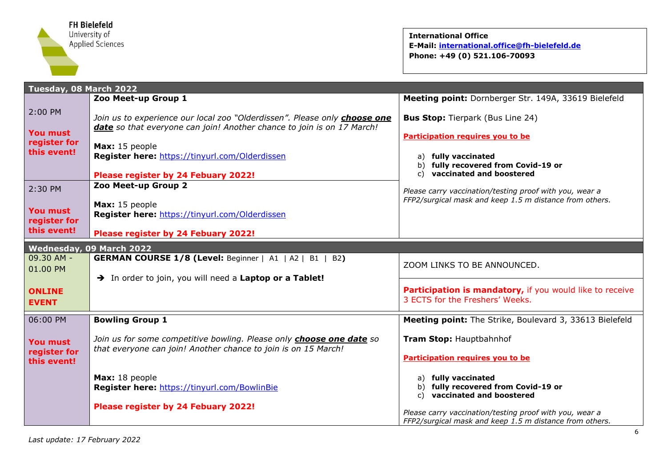

<span id="page-5-1"></span><span id="page-5-0"></span>

| Tuesday, 08 March 2022                         |                                                                                                                                                            |                                                                                                                    |  |  |
|------------------------------------------------|------------------------------------------------------------------------------------------------------------------------------------------------------------|--------------------------------------------------------------------------------------------------------------------|--|--|
|                                                | Zoo Meet-up Group 1                                                                                                                                        | Meeting point: Dornberger Str. 149A, 33619 Bielefeld                                                               |  |  |
| 2:00 PM<br><b>You must</b>                     | Join us to experience our local zoo "Olderdissen". Please only choose one<br><b>date</b> so that everyone can join! Another chance to join is on 17 March! | <b>Bus Stop:</b> Tierpark (Bus Line 24)<br>Participation requires you to be                                        |  |  |
| register for<br>this event!                    | Max: 15 people<br>Register here: https://tinyurl.com/Olderdissen<br>Please register by 24 Febuary 2022!                                                    | fully vaccinated<br>a)<br>fully recovered from Covid-19 or<br>b)<br>vaccinated and boostered<br>C)                 |  |  |
| 2:30 PM                                        | Zoo Meet-up Group 2                                                                                                                                        | Please carry vaccination/testing proof with you, wear a                                                            |  |  |
| <b>You must</b><br>register for                | Max: 15 people<br>Register here: https://tinyurl.com/Olderdissen                                                                                           | FFP2/surgical mask and keep 1.5 m distance from others.                                                            |  |  |
| this event!                                    | Please register by 24 Febuary 2022!                                                                                                                        |                                                                                                                    |  |  |
| Wednesday, 09 March 2022                       |                                                                                                                                                            |                                                                                                                    |  |  |
| 09.30 AM -<br>01.00 PM                         | <b>GERMAN COURSE 1/8 (Level: Beginner   A1   A2   B1   B2)</b>                                                                                             | ZOOM LINKS TO BE ANNOUNCED.                                                                                        |  |  |
| <b>ONLINE</b><br><b>EVENT</b>                  | > In order to join, you will need a Laptop or a Tablet!                                                                                                    | Participation is mandatory, if you would like to receive<br>3 ECTS for the Freshers' Weeks.                        |  |  |
| 06:00 PM                                       | <b>Bowling Group 1</b>                                                                                                                                     | Meeting point: The Strike, Boulevard 3, 33613 Bielefeld                                                            |  |  |
| <b>You must</b><br>register for<br>this event! | Join us for some competitive bowling. Please only <b>choose one date</b> so<br>that everyone can join! Another chance to join is on 15 March!              | Tram Stop: Hauptbahnhof<br>Participation requires you to be                                                        |  |  |
|                                                | Max: 18 people<br>Register here: https://tinyurl.com/BowlinBie                                                                                             | a) fully vaccinated<br>b) fully recovered from Covid-19 or<br>vaccinated and boostered<br>C)                       |  |  |
|                                                | Please register by 24 Febuary 2022!                                                                                                                        | Please carry vaccination/testing proof with you, wear a<br>FFP2/surgical mask and keep 1.5 m distance from others. |  |  |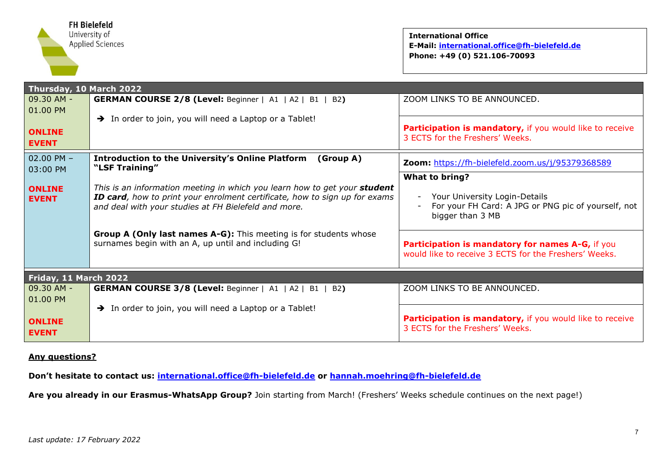

<span id="page-6-0"></span>

| Thursday, 10 March 2022       |                                                                                                                                                                                                                 |                                                                                                           |  |
|-------------------------------|-----------------------------------------------------------------------------------------------------------------------------------------------------------------------------------------------------------------|-----------------------------------------------------------------------------------------------------------|--|
| $09.30$ AM -                  | <b>GERMAN COURSE 2/8 (Level:</b> Beginner   A1   A2   B1   B2)                                                                                                                                                  | ZOOM LINKS TO BE ANNOUNCED.                                                                               |  |
| $ 01.00$ PM                   | $\rightarrow$ In order to join, you will need a Laptop or a Tablet!                                                                                                                                             |                                                                                                           |  |
| <b>ONLINE</b>                 |                                                                                                                                                                                                                 | Participation is mandatory, if you would like to receive                                                  |  |
| <b>EVENT</b>                  |                                                                                                                                                                                                                 | 3 ECTS for the Freshers' Weeks.                                                                           |  |
| $02.00$ PM $-$                | <b>Introduction to the University's Online Platform</b><br>(Group A)                                                                                                                                            |                                                                                                           |  |
| 03:00 PM                      | "LSF Training"                                                                                                                                                                                                  | Zoom: https://fh-bielefeld.zoom.us/j/95379368589                                                          |  |
|                               |                                                                                                                                                                                                                 | What to bring?                                                                                            |  |
| <b>ONLINE</b><br><b>EVENT</b> | This is an information meeting in which you learn how to get your student<br>ID card, how to print your enrolment certificate, how to sign up for exams<br>and deal with your studies at FH Bielefeld and more. | Your University Login-Details<br>For your FH Card: A JPG or PNG pic of yourself, not<br>bigger than 3 MB  |  |
|                               |                                                                                                                                                                                                                 |                                                                                                           |  |
|                               | Group A (Only last names A-G): This meeting is for students whose<br>surnames begin with an A, up until and including G!                                                                                        | Participation is mandatory for names A-G, if you<br>would like to receive 3 ECTS for the Freshers' Weeks. |  |
| Friday, 11 March 2022         |                                                                                                                                                                                                                 |                                                                                                           |  |
| $09.30$ AM -                  | <b>GERMAN COURSE 3/8 (Level:</b> Beginner   A1   A2   B1   B2)                                                                                                                                                  | ZOOM LINKS TO BE ANNOUNCED.                                                                               |  |
| 01.00 PM                      |                                                                                                                                                                                                                 |                                                                                                           |  |
| <b>ONLINE</b><br><b>EVENT</b> | Theoretor of the will need a Laptop or a Tablet!                                                                                                                                                                | Participation is mandatory, if you would like to receive<br>3 ECTS for the Freshers' Weeks.               |  |

#### <span id="page-6-1"></span>**Any questions?**

**Don't hesitate to contact us: [international.office@fh-bielefeld.de](mailto:international.office@fh-bielefeld.de) or [hannah.moehring@fh-bielefeld.de](mailto:hannah.moehring@fh-bielefeld.de)**

**Are you already in our Erasmus-WhatsApp Group?** Join starting from March! (Freshers' Weeks schedule continues on the next page!)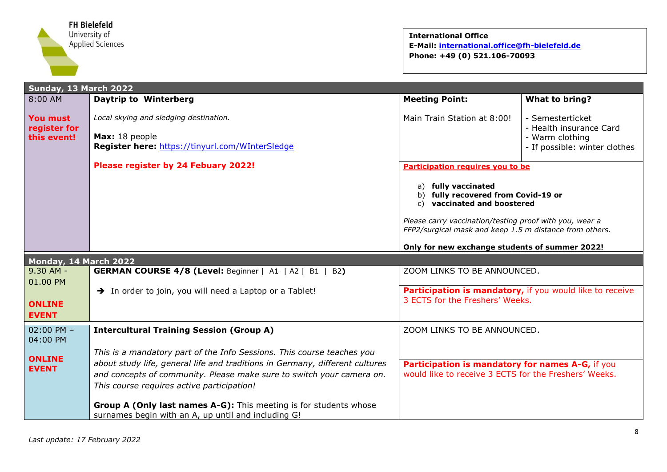

<span id="page-7-1"></span><span id="page-7-0"></span>

| Sunday, 13 March 2022                   |                                                                                                                                                                                                                                                                               |                                                                                                                                                                                                                                                                            |                                                                                                 |
|-----------------------------------------|-------------------------------------------------------------------------------------------------------------------------------------------------------------------------------------------------------------------------------------------------------------------------------|----------------------------------------------------------------------------------------------------------------------------------------------------------------------------------------------------------------------------------------------------------------------------|-------------------------------------------------------------------------------------------------|
| $8:00$ AM                               | <b>Daytrip to Winterberg</b>                                                                                                                                                                                                                                                  | <b>Meeting Point:</b>                                                                                                                                                                                                                                                      | What to bring?                                                                                  |
| You must<br>register for<br>this event! | Local skying and sledging destination.<br>Max: 18 people<br>Register here: https://tinyurl.com/WInterSledge                                                                                                                                                                   | Main Train Station at 8:00!                                                                                                                                                                                                                                                | - Semesterticket<br>- Health insurance Card<br>- Warm clothing<br>- If possible: winter clothes |
|                                         | Please register by 24 Febuary 2022!                                                                                                                                                                                                                                           | Participation requires you to be                                                                                                                                                                                                                                           |                                                                                                 |
|                                         |                                                                                                                                                                                                                                                                               | fully vaccinated<br>a)<br>fully recovered from Covid-19 or<br>b)<br>vaccinated and boostered<br>C)<br>Please carry vaccination/testing proof with you, wear a<br>FFP2/surgical mask and keep 1.5 m distance from others.<br>Only for new exchange students of summer 2022! |                                                                                                 |
| Monday, 14 March 2022                   |                                                                                                                                                                                                                                                                               |                                                                                                                                                                                                                                                                            |                                                                                                 |
| $9.30$ AM -                             | <b>GERMAN COURSE 4/8 (Level: Beginner   A1   A2   B1   B2)</b>                                                                                                                                                                                                                | ZOOM LINKS TO BE ANNOUNCED.                                                                                                                                                                                                                                                |                                                                                                 |
| 01.00 PM                                | > In order to join, you will need a Laptop or a Tablet!                                                                                                                                                                                                                       | Participation is mandatory, if you would like to receive                                                                                                                                                                                                                   |                                                                                                 |
| <b>ONLINE</b><br><b>EVENT</b>           |                                                                                                                                                                                                                                                                               | 3 ECTS for the Freshers' Weeks.                                                                                                                                                                                                                                            |                                                                                                 |
| $02:00$ PM $-$<br>04:00 PM              | <b>Intercultural Training Session (Group A)</b>                                                                                                                                                                                                                               | ZOOM LINKS TO BE ANNOUNCED.                                                                                                                                                                                                                                                |                                                                                                 |
| <b>ONLINE</b><br><b>EVENT</b>           | This is a mandatory part of the Info Sessions. This course teaches you<br>about study life, general life and traditions in Germany, different cultures<br>and concepts of community. Please make sure to switch your camera on.<br>This course requires active participation! | Participation is mandatory for names A-G, if you<br>would like to receive 3 ECTS for the Freshers' Weeks.                                                                                                                                                                  |                                                                                                 |
|                                         | Group A (Only last names A-G): This meeting is for students whose<br>surnames begin with an A, up until and including G!                                                                                                                                                      |                                                                                                                                                                                                                                                                            |                                                                                                 |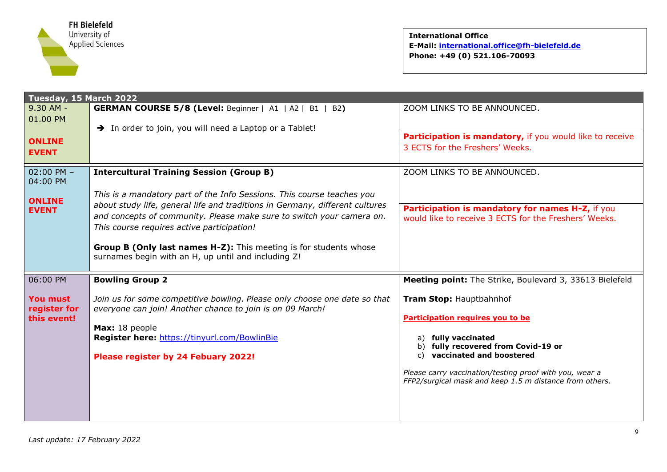

<span id="page-8-0"></span>

| Tuesday, 15 March 2022      |                                                                                                                                 |                                                                                                                    |  |  |
|-----------------------------|---------------------------------------------------------------------------------------------------------------------------------|--------------------------------------------------------------------------------------------------------------------|--|--|
| $9.30$ AM -                 | <b>GERMAN COURSE 5/8 (Level: Beginner   A1   A2   B1   B2)</b>                                                                  | ZOOM LINKS TO BE ANNOUNCED.                                                                                        |  |  |
| 01.00 PM                    | > In order to join, you will need a Laptop or a Tablet!                                                                         |                                                                                                                    |  |  |
| <b>ONLINE</b>               |                                                                                                                                 | Participation is mandatory, if you would like to receive                                                           |  |  |
| <b>EVENT</b>                |                                                                                                                                 | 3 ECTS for the Freshers' Weeks.                                                                                    |  |  |
|                             |                                                                                                                                 | ZOOM LINKS TO BE ANNOUNCED.                                                                                        |  |  |
| $02:00$ PM $-$<br>04:00 PM  | <b>Intercultural Training Session (Group B)</b>                                                                                 |                                                                                                                    |  |  |
|                             | This is a mandatory part of the Info Sessions. This course teaches you                                                          |                                                                                                                    |  |  |
| <b>ONLINE</b>               | about study life, general life and traditions in Germany, different cultures                                                    | Participation is mandatory for names H-Z, if you                                                                   |  |  |
| <b>EVENT</b>                | and concepts of community. Please make sure to switch your camera on.                                                           | would like to receive 3 ECTS for the Freshers' Weeks.                                                              |  |  |
|                             | This course requires active participation!                                                                                      |                                                                                                                    |  |  |
|                             |                                                                                                                                 |                                                                                                                    |  |  |
|                             | <b>Group B (Only last names H-Z):</b> This meeting is for students whose<br>surnames begin with an H, up until and including Z! |                                                                                                                    |  |  |
|                             |                                                                                                                                 |                                                                                                                    |  |  |
| 06:00 PM                    | <b>Bowling Group 2</b>                                                                                                          | Meeting point: The Strike, Boulevard 3, 33613 Bielefeld                                                            |  |  |
| <b>You must</b>             | Join us for some competitive bowling. Please only choose one date so that                                                       | Tram Stop: Hauptbahnhof                                                                                            |  |  |
| register for<br>this event! | everyone can join! Another chance to join is on 09 March!                                                                       | Participation requires you to be                                                                                   |  |  |
|                             | Max: 18 people                                                                                                                  |                                                                                                                    |  |  |
|                             | Register here: https://tinyurl.com/BowlinBie                                                                                    | fully vaccinated<br>a)                                                                                             |  |  |
|                             | Please register by 24 Febuary 2022!                                                                                             | fully recovered from Covid-19 or<br>vaccinated and boostered                                                       |  |  |
|                             |                                                                                                                                 |                                                                                                                    |  |  |
|                             |                                                                                                                                 | Please carry vaccination/testing proof with you, wear a<br>FFP2/surgical mask and keep 1.5 m distance from others. |  |  |
|                             |                                                                                                                                 |                                                                                                                    |  |  |
|                             |                                                                                                                                 |                                                                                                                    |  |  |
|                             |                                                                                                                                 |                                                                                                                    |  |  |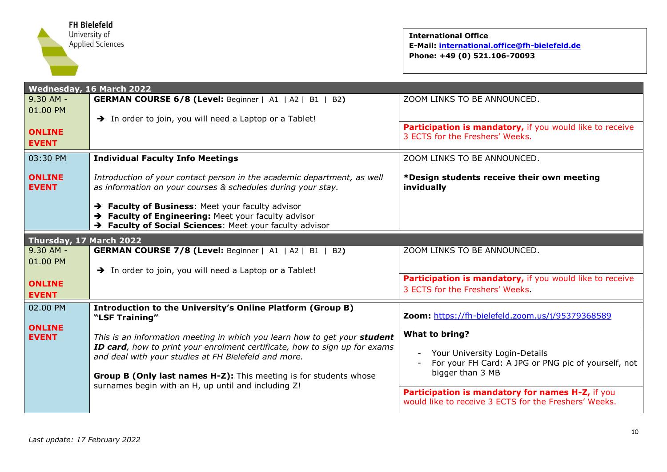

<span id="page-9-1"></span><span id="page-9-0"></span>

| Wednesday, 16 March 2022      |                                                                                                                                                                                                                                                                                                                                             |                                                                                                                                                                                                                                                           |
|-------------------------------|---------------------------------------------------------------------------------------------------------------------------------------------------------------------------------------------------------------------------------------------------------------------------------------------------------------------------------------------|-----------------------------------------------------------------------------------------------------------------------------------------------------------------------------------------------------------------------------------------------------------|
| $9.30$ AM -                   | <b>GERMAN COURSE 6/8 (Level: Beginner   A1   A2   B1   B2)</b>                                                                                                                                                                                                                                                                              | ZOOM LINKS TO BE ANNOUNCED.                                                                                                                                                                                                                               |
| 01.00 PM                      | > In order to join, you will need a Laptop or a Tablet!                                                                                                                                                                                                                                                                                     |                                                                                                                                                                                                                                                           |
| <b>ONLINE</b><br><b>EVENT</b> |                                                                                                                                                                                                                                                                                                                                             | Participation is mandatory, if you would like to receive<br>3 ECTS for the Freshers' Weeks.                                                                                                                                                               |
| 03:30 PM                      | <b>Individual Faculty Info Meetings</b>                                                                                                                                                                                                                                                                                                     | ZOOM LINKS TO BE ANNOUNCED.                                                                                                                                                                                                                               |
| <b>ONLINE</b><br><b>EVENT</b> | Introduction of your contact person in the academic department, as well<br>as information on your courses & schedules during your stay.                                                                                                                                                                                                     | *Design students receive their own meeting<br>invidually                                                                                                                                                                                                  |
|                               | > Faculty of Business: Meet your faculty advisor<br>> Faculty of Engineering: Meet your faculty advisor<br>> Faculty of Social Sciences: Meet your faculty advisor                                                                                                                                                                          |                                                                                                                                                                                                                                                           |
| Thursday, 17 March 2022       |                                                                                                                                                                                                                                                                                                                                             |                                                                                                                                                                                                                                                           |
| $9.30$ AM -                   | <b>GERMAN COURSE 7/8 (Level: Beginner   A1   A2   B1   B2)</b>                                                                                                                                                                                                                                                                              | ZOOM LINKS TO BE ANNOUNCED.                                                                                                                                                                                                                               |
| 01.00 PM                      | > In order to join, you will need a Laptop or a Tablet!                                                                                                                                                                                                                                                                                     |                                                                                                                                                                                                                                                           |
| <b>ONLINE</b><br><b>EVENT</b> |                                                                                                                                                                                                                                                                                                                                             | Participation is mandatory, if you would like to receive<br>3 ECTS for the Freshers' Weeks.                                                                                                                                                               |
| 02.00 PM<br><b>ONLINE</b>     | <b>Introduction to the University's Online Platform (Group B)</b><br>"LSF Training"                                                                                                                                                                                                                                                         | Zoom: https://fh-bielefeld.zoom.us/j/95379368589                                                                                                                                                                                                          |
| <b>EVENT</b>                  | This is an information meeting in which you learn how to get your student<br>ID card, how to print your enrolment certificate, how to sign up for exams<br>and deal with your studies at FH Bielefeld and more.<br>Group B (Only last names H-Z): This meeting is for students whose<br>surnames begin with an H, up until and including Z! | What to bring?<br>Your University Login-Details<br>$\blacksquare$<br>For your FH Card: A JPG or PNG pic of yourself, not<br>bigger than 3 MB<br>Participation is mandatory for names H-Z, if you<br>would like to receive 3 ECTS for the Freshers' Weeks. |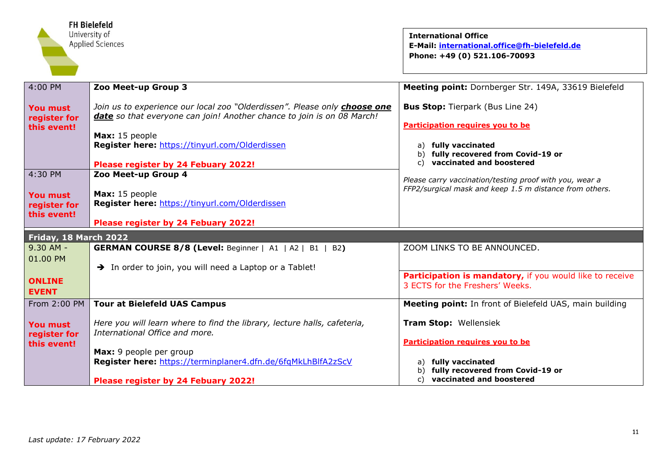<span id="page-10-0"></span>

| <b>FH Bielefeld</b><br>University of<br><b>Applied Sciences</b> |                                                                                                                                                                                                                                                                | <b>International Office</b><br>E-Mail: international.office@fh-bielefeld.de<br>Phone: +49 (0) 521.106-70093                                                                            |
|-----------------------------------------------------------------|----------------------------------------------------------------------------------------------------------------------------------------------------------------------------------------------------------------------------------------------------------------|----------------------------------------------------------------------------------------------------------------------------------------------------------------------------------------|
| 4:00 PM                                                         | Zoo Meet-up Group 3                                                                                                                                                                                                                                            | Meeting point: Dornberger Str. 149A, 33619 Bielefeld                                                                                                                                   |
| You must<br>register for<br>this event!                         | Join us to experience our local zoo "Olderdissen". Please only choose one<br>date so that everyone can join! Another chance to join is on 08 March!<br>Max: 15 people<br>Register here: https://tinyurl.com/Olderdissen<br>Please register by 24 Febuary 2022! | <b>Bus Stop:</b> Tierpark (Bus Line 24)<br>Participation requires you to be<br>a) fully vaccinated<br>b) fully recovered from Covid-19 or<br>vaccinated and boostered<br>$\mathcal{C}$ |
| 4:30 PM<br><b>You must</b><br>register for<br>this event!       | Zoo Meet-up Group 4<br>Max: 15 people<br>Register here: https://tinyurl.com/Olderdissen<br>Please register by 24 Febuary 2022!                                                                                                                                 | Please carry vaccination/testing proof with you, wear a<br>FFP2/surgical mask and keep 1.5 m distance from others.                                                                     |
| Friday, 18 March 2022                                           |                                                                                                                                                                                                                                                                |                                                                                                                                                                                        |
| $9.30$ AM -<br>01.00 PM<br><b>ONLINE</b><br><b>EVENT</b>        | <b>GERMAN COURSE 8/8 (Level:</b> Beginner   A1   A2   B1   B2)<br>> In order to join, you will need a Laptop or a Tablet!                                                                                                                                      | ZOOM LINKS TO BE ANNOUNCED.<br>Participation is mandatory, if you would like to receive<br>3 ECTS for the Freshers' Weeks.                                                             |
| From 2:00 PM                                                    | <b>Tour at Bielefeld UAS Campus</b>                                                                                                                                                                                                                            | Meeting point: In front of Bielefeld UAS, main building                                                                                                                                |
| <b>You must</b><br>register for<br>this event!                  | Here you will learn where to find the library, lecture halls, cafeteria,<br>International Office and more.<br>Max: 9 people per group<br>Register here: https://terminplaner4.dfn.de/6fqMkLhBlfA2zScV                                                          | Tram Stop: Wellensiek<br>Participation requires you to be<br>a) fully vaccinated<br>fully recovered from Covid-19 or<br>b)<br>vaccinated and boostered                                 |
|                                                                 | Please register by 24 Febuary 2022!                                                                                                                                                                                                                            | C)                                                                                                                                                                                     |